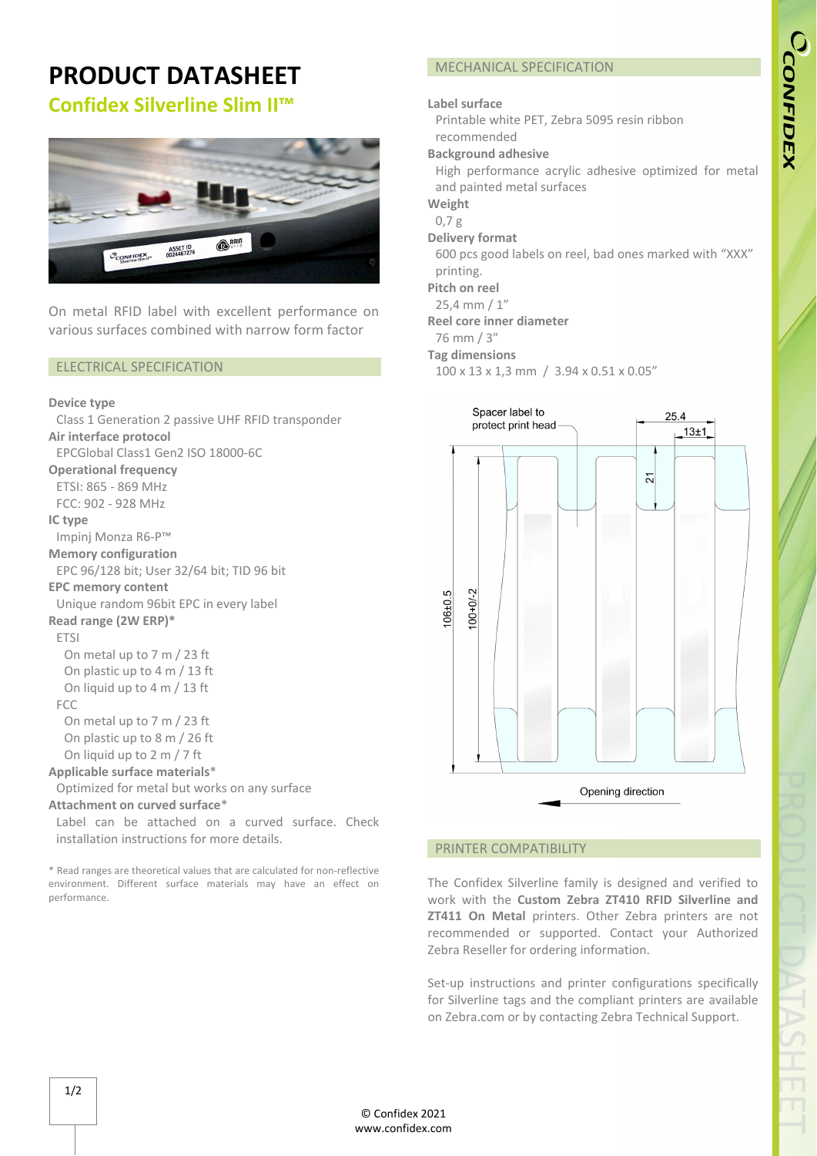# **PRODUCT DATASHEET Confidex Silverline Slim II™**



On metal RFID label with excellent performance on various surfaces combined with narrow form factor

#### ELECTRICAL SPECIFICATION

#### **Device type**

Class 1 Generation 2 passive UHF RFID transponder **Air interface protocol**  EPCGlobal Class1 Gen2 ISO 18000‐6C **Operational frequency** ETSI: 865 ‐ 869 MHz FCC: 902 ‐ 928 MHz **IC type** Impinj Monza R6‐P™ **Memory configuration** EPC 96/128 bit; User 32/64 bit; TID 96 bit **EPC memory content** Unique random 96bit EPC in every label **Read range (2W ERP)\*** ETSI On metal up to 7 m / 23 ft On plastic up to 4 m / 13 ft On liquid up to 4 m / 13 ft FCC On metal up to 7 m / 23 ft On plastic up to 8 m / 26 ft On liquid up to 2 m / 7 ft **Applicable surface materials**\* Optimized for metal but works on any surface **Attachment on curved surface**\* Label can be attached on a curved surface. Check

installation instructions for more details.

\* Read ranges are theoretical values that are calculated for non‐reflective environment. Different surface materials may have an effect on performance.

# MECHANICAL SPECIFICATION

#### **Label surface**

Printable white PET, Zebra 5095 resin ribbon recommended

#### **Background adhesive**

High performance acrylic adhesive optimized for metal and painted metal surfaces

**Weight**

- 0,7 g
- **Delivery format**

600 pcs good labels on reel, bad ones marked with "XXX" printing.

**Pitch on reel**

25,4 mm / 1"

**Reel core inner diameter**

76 mm / 3"

### **Tag dimensions**

100 x 13 x 1,3 mm / 3.94 x 0.51 x 0.05"



### PRINTER COMPATIBILITY

The Confidex Silverline family is designed and verified to work with the **Custom Zebra ZT410 RFID Silverline and ZT411 On Metal** printers. Other Zebra printers are not recommended or supported. Contact your Authorized Zebra Reseller for ordering information.

Set-up instructions and printer configurations specifically for Silverline tags and the compliant printers are available on Zebra.com or by contacting Zebra Technical Support.

© Confidex 2021 www.confidex.com